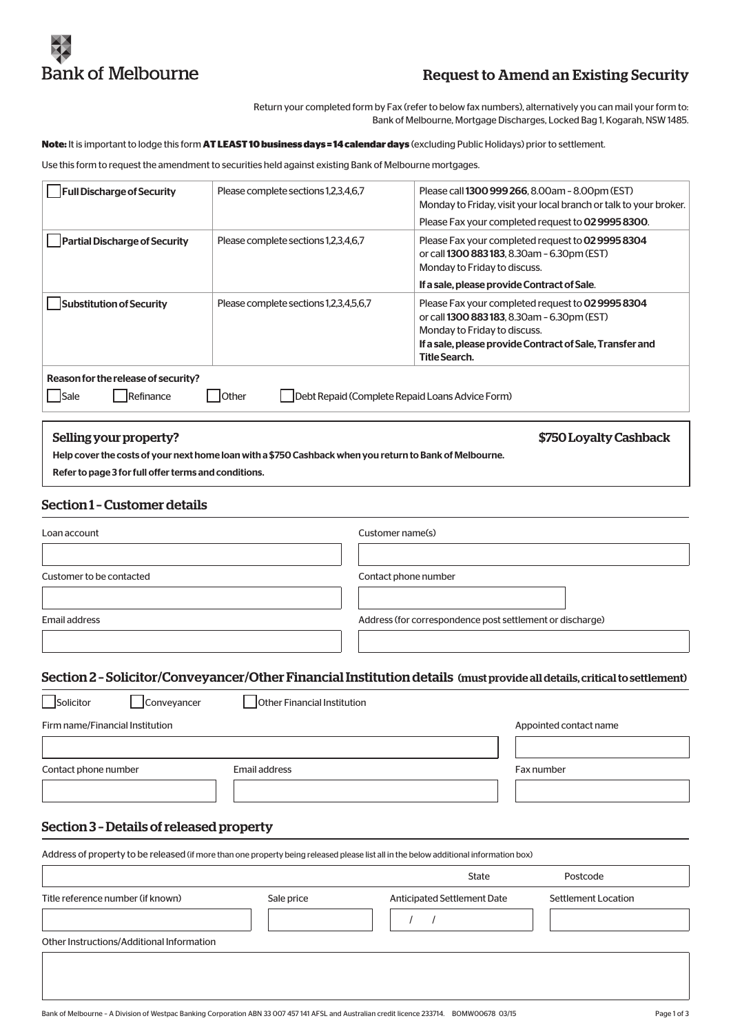

# Request to Amend an Existing Security

Return your completed form by Fax (refer to below fax numbers), alternatively you can mail your form to: Bank of Melbourne, Mortgage Discharges, Locked Bag 1, Kogarah, NSW 1485.

**Note:** It is important to lodge this form **AT LEAST 10 business days = 14 calendar days** (excluding Public Holidays) prior to settlement.

Use this form to request the amendment to securities held against existing Bank of Melbourne mortgages.

| <b>Full Discharge of Security</b>                                                                                    | Please complete sections 1,2,3,4,6,7   | Please call 1300 999 266, 8.00am - 8.00pm (EST)<br>Monday to Friday, visit your local branch or talk to your broker.<br>Please Fax your completed request to 0299958300.                                      |
|----------------------------------------------------------------------------------------------------------------------|----------------------------------------|---------------------------------------------------------------------------------------------------------------------------------------------------------------------------------------------------------------|
| <b>Partial Discharge of Security</b>                                                                                 | Please complete sections 1,2,3,4,6,7   | Please Fax your completed request to 02 9995 8304<br>or call 1300 883 183, 8.30am - 6.30pm (EST)<br>Monday to Friday to discuss.                                                                              |
|                                                                                                                      |                                        | If a sale, please provide Contract of Sale.                                                                                                                                                                   |
| Substitution of Security                                                                                             | Please complete sections 1,2,3,4,5,6,7 | Please Fax your completed request to 02 9995 8304<br>or call 1300 883 183, 8.30am - 6.30pm (EST)<br>Monday to Friday to discuss.<br>If a sale, please provide Contract of Sale, Transfer and<br>Title Search. |
| Reason for the release of security?<br>Debt Repaid (Complete Repaid Loans Advice Form)<br>Refinance<br>Sale<br>Other |                                        |                                                                                                                                                                                                               |

## Selling your property? The state of the state of the state of the state of the state of the state of the state of the state of the state of the state of the state of the state of the state of the state of the state of the

Help cover the costs of your next home loan with a \$750 Cashback when you return to Bank of Melbourne.

Refer to page 3 for full offer terms and conditions.

# Section 1 – Customer details

| Loan account             | Customer name(s)                                          |
|--------------------------|-----------------------------------------------------------|
|                          |                                                           |
| Customer to be contacted | Contact phone number                                      |
|                          |                                                           |
| Email address            | Address (for correspondence post settlement or discharge) |
|                          |                                                           |

#### Section 2 – Solicitor/Conveyancer/Other Financial Institution details (must provide all details, critical to settlement)

| Solicitor                       | Other Financial Institution<br><b>Conveyancer</b> |            |
|---------------------------------|---------------------------------------------------|------------|
| Firm name/Financial Institution | Appointed contact name                            |            |
|                                 |                                                   |            |
| Contact phone number            | Email address                                     | Fax number |
|                                 |                                                   |            |

# Section 3 – Details of released property

Address of property to be released (if more than one property being released please list all in the below additional information box)

|                                                 | State                       | Postcode            |
|-------------------------------------------------|-----------------------------|---------------------|
| Title reference number (if known)<br>Sale price | Anticipated Settlement Date | Settlement Location |
| Other Instructions/Additional Information       |                             |                     |
|                                                 |                             |                     |
|                                                 |                             |                     |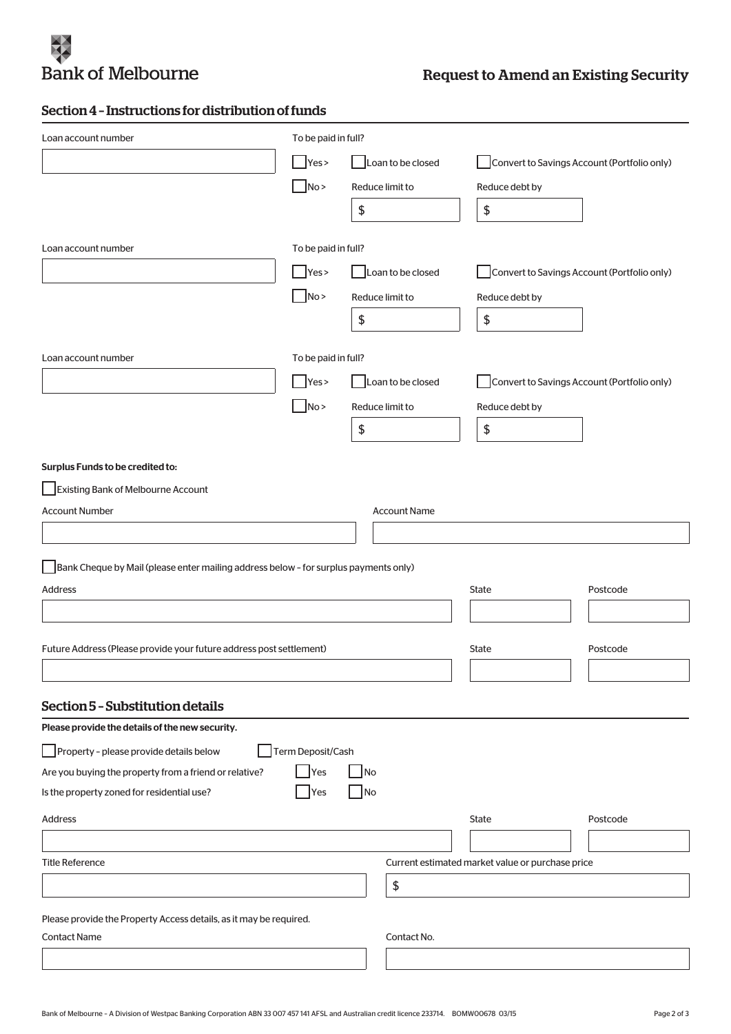

# Section 4 – Instructions for distribution of funds

| Loan account number                                                                  | To be paid in full? |                     |                                                  |          |
|--------------------------------------------------------------------------------------|---------------------|---------------------|--------------------------------------------------|----------|
|                                                                                      | Yes >               | Loan to be closed   | Convert to Savings Account (Portfolio only)      |          |
|                                                                                      | No >                | Reduce limit to     | Reduce debt by                                   |          |
|                                                                                      |                     | \$                  | \$                                               |          |
|                                                                                      |                     |                     |                                                  |          |
| Loan account number                                                                  | To be paid in full? |                     |                                                  |          |
|                                                                                      | Yes >               | Loan to be closed   | Convert to Savings Account (Portfolio only)      |          |
|                                                                                      | No                  | Reduce limit to     | Reduce debt by                                   |          |
|                                                                                      |                     | \$                  | \$                                               |          |
| Loan account number                                                                  | To be paid in full? |                     |                                                  |          |
|                                                                                      | Yes >               | Loan to be closed   | Convert to Savings Account (Portfolio only)      |          |
|                                                                                      | No >                | Reduce limit to     | Reduce debt by                                   |          |
|                                                                                      |                     | \$                  | \$                                               |          |
|                                                                                      |                     |                     |                                                  |          |
| Surplus Funds to be credited to:                                                     |                     |                     |                                                  |          |
| Existing Bank of Melbourne Account                                                   |                     |                     |                                                  |          |
| <b>Account Number</b>                                                                |                     | <b>Account Name</b> |                                                  |          |
|                                                                                      |                     |                     |                                                  |          |
| Bank Cheque by Mail (please enter mailing address below - for surplus payments only) |                     |                     |                                                  |          |
| Address                                                                              |                     |                     | State                                            | Postcode |
|                                                                                      |                     |                     |                                                  |          |
| Future Address (Please provide your future address post settlement)                  |                     |                     | <b>State</b>                                     | Postcode |
|                                                                                      |                     |                     |                                                  |          |
|                                                                                      |                     |                     |                                                  |          |
| Section 5 - Substitution details                                                     |                     |                     |                                                  |          |
| Please provide the details of the new security.                                      |                     |                     |                                                  |          |
| Property - please provide details below                                              | Term Deposit/Cash   |                     |                                                  |          |
| Are you buying the property from a friend or relative?                               | <b>Yes</b>          | No                  |                                                  |          |
| Is the property zoned for residential use?                                           | Yes                 | No                  |                                                  |          |
| Address                                                                              |                     |                     | State                                            | Postcode |
|                                                                                      |                     |                     |                                                  |          |
| <b>Title Reference</b>                                                               |                     |                     | Current estimated market value or purchase price |          |
|                                                                                      |                     | \$                  |                                                  |          |
| Please provide the Property Access details, as it may be required.                   |                     |                     |                                                  |          |
| <b>Contact Name</b>                                                                  |                     | Contact No.         |                                                  |          |
|                                                                                      |                     |                     |                                                  |          |